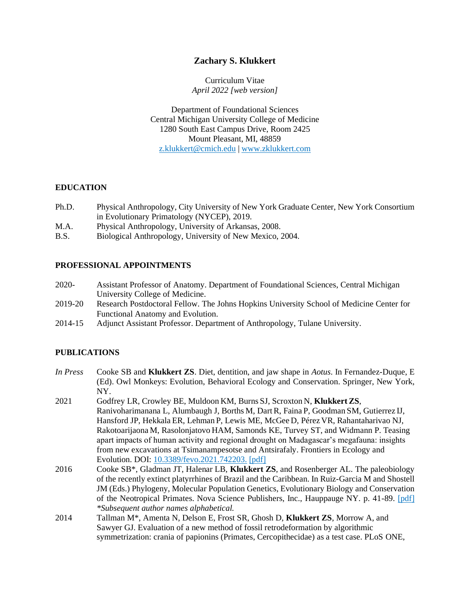# **Zachary S. Klukkert**

Curriculum Vitae *April 2022 [web version]*

Department of Foundational Sciences Central Michigan University College of Medicine 1280 South East Campus Drive, Room 2425 Mount Pleasant, MI, 48859 [z.klukkert@cmich.edu](mailto:z.klukkert@cmich.edu) | [www.zklukkert.com](http://www.zklukkert.com/?source=CV)

## **EDUCATION**

- Ph.D. Physical Anthropology, City University of New York Graduate Center, New York Consortium in Evolutionary Primatology (NYCEP), 2019.
- M.A. Physical Anthropology, University of Arkansas, 2008.
- B.S. Biological Anthropology, University of New Mexico, 2004.

# **PROFESSIONAL APPOINTMENTS**

- 2020- Assistant Professor of Anatomy. Department of Foundational Sciences, Central Michigan University College of Medicine.
- 2019-20 Research Postdoctoral Fellow. The Johns Hopkins University School of Medicine Center for Functional Anatomy and Evolution.
- 2014-15 Adjunct Assistant Professor. Department of Anthropology, Tulane University.

# **PUBLICATIONS**

- *In Press* Cooke SB and **Klukkert ZS**. Diet, dentition, and jaw shape in *Aotus*. In Fernandez-Duque, E (Ed). Owl Monkeys: Evolution, Behavioral Ecology and Conservation. Springer, New York, NY.
- 2021 Godfrey LR, Crowley BE, Muldoon KM, Burns SJ, Scroxton N, **Klukkert ZS**, Ranivoharimanana L, Alumbaugh J, Borths M, DartR, Faina P, Goodman SM, Gutierrez IJ, Hansford JP, Hekkala ER, Lehman P, Lewis ME, McGee D, Pérez VR, Rahantaharivao NJ, Rakotoarijaona M, Rasolonjatovo HAM, Samonds KE, Turvey ST, and Widmann P. Teasing apart impacts of human activity and regional drought on Madagascar's megafauna: insights from new excavations at Tsimanampesotse and Antsirafaly. Frontiers in Ecology and Evolution. DOI: [10.3389/fevo.2021.742203.](https://www.frontiersin.org/articles/10.3389/fevo.2021.742203/abstract) [\[pdf\]](https://4f2579b6-3bea-4445-a1dd-9c75331f6b22.usrfiles.com/ugd/4f2579_11e6f2f4701349cb8eb2db827bc674b1.pdf)
- 2016 Cooke SB\*, Gladman JT, Halenar LB, **Klukkert ZS**, and Rosenberger AL. The paleobiology of the recently extinct platyrrhines of Brazil and the Caribbean. In Ruiz-Garcia M and Shostell JM (Eds.) Phylogeny, Molecular Population Genetics, Evolutionary Biology and Conservation of the Neotropical Primates. Nova Science Publishers, Inc., Hauppauge NY. p. 41-89. [\[pdf\]](https://4f2579b6-3bea-4445-a1dd-9c75331f6b22.usrfiles.com/ugd/4f2579_97da349ebd0a4526bb8d6c7eca306365.pdf) *\*Subsequent author names alphabetical.*
- 2014 Tallman M\*, Amenta N, Delson E, Frost SR, Ghosh D, **Klukkert ZS**, Morrow A, and Sawyer GJ. Evaluation of a new method of fossil retrodeformation by algorithmic symmetrization: crania of papionins (Primates, Cercopithecidae) as a test case. PLoS ONE,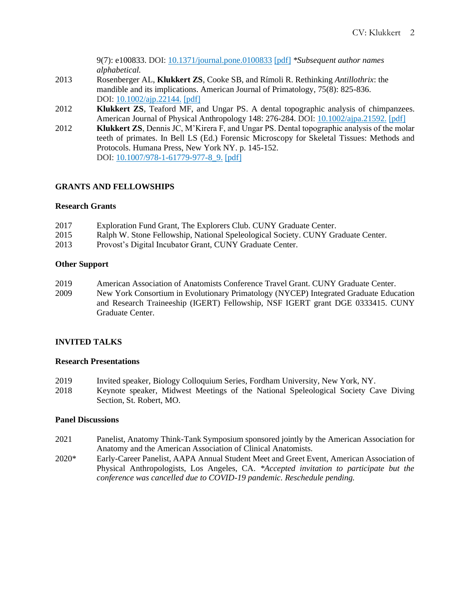9(7): e100833. DOI: [10.1371/journal.pone.0100833](https://doi.org/10.1371/journal.pone.0100833) [\[pdf\]](https://4f2579b6-3bea-4445-a1dd-9c75331f6b22.usrfiles.com/ugd/4f2579_c203d8d3ef874de097561af65883f79d.pdf) *\*Subsequent author names alphabetical.*

- 2013 Rosenberger AL, **Klukkert ZS**, Cooke SB, and Rímoli R. Rethinking *Antillothrix*: the mandible and its implications. American Journal of Primatology, 75(8): 825-836. DOI: [10.1002/ajp.22144.](https://doi.org/10.1002/ajp.22144) [\[pdf\]](https://4f2579b6-3bea-4445-a1dd-9c75331f6b22.usrfiles.com/ugd/4f2579_687e042b96b04ba3a62626f10d143cd7.pdf)
- 2012 **Klukkert ZS**, Teaford MF, and Ungar PS. A dental topographic analysis of chimpanzees. American Journal of Physical Anthropology 148: 276-284. DOI: [10.1002/ajpa.21592.](https://doi.org/10.1002/ajpa.21592) [\[pdf\]](https://4f2579b6-3bea-4445-a1dd-9c75331f6b22.usrfiles.com/ugd/4f2579_148be264fcc3459e8f12e73fcc83c1b6.pdf)
- 2012 **Klukkert ZS**, Dennis JC, M'Kirera F, and Ungar PS. Dental topographic analysis of the molar teeth of primates. In Bell LS (Ed.) Forensic Microscopy for Skeletal Tissues: Methods and Protocols. Humana Press, New York NY. p. 145-152. DOI: [10.1007/978-1-61779-977-8\\_9.](https://doi.org/10.1007/978-1-61779-977-8_9) [\[pdf\]](https://4f2579b6-3bea-4445-a1dd-9c75331f6b22.usrfiles.com/ugd/4f2579_bbac317f608a481a8875b0c05c18836b.pdf)

### **GRANTS AND FELLOWSHIPS**

#### **Research Grants**

| 2017 | Exploration Fund Grant, The Explorers Club. CUNY Graduate Center.                |
|------|----------------------------------------------------------------------------------|
| 2015 | Ralph W. Stone Fellowship, National Speleological Society. CUNY Graduate Center. |
| 2013 | Provost's Digital Incubator Grant, CUNY Graduate Center.                         |

### **Other Support**

- 2019 American Association of Anatomists Conference Travel Grant. CUNY Graduate Center.
- 2009 New York Consortium in Evolutionary Primatology (NYCEP) Integrated Graduate Education and Research Traineeship (IGERT) Fellowship, NSF IGERT grant DGE 0333415. CUNY Graduate Center.

## **INVITED TALKS**

#### **Research Presentations**

- 2019 Invited speaker, Biology Colloquium Series, Fordham University, New York, NY.
- 2018 Keynote speaker, Midwest Meetings of the National Speleological Society Cave Diving Section, St. Robert, MO.

#### **Panel Discussions**

- 2021 Panelist, Anatomy Think-Tank Symposium sponsored jointly by the American Association for Anatomy and the American Association of Clinical Anatomists.
- 2020\* Early-Career Panelist, AAPA Annual Student Meet and Greet Event, American Association of Physical Anthropologists, Los Angeles, CA. *\*Accepted invitation to participate but the conference was cancelled due to COVID-19 pandemic. Reschedule pending.*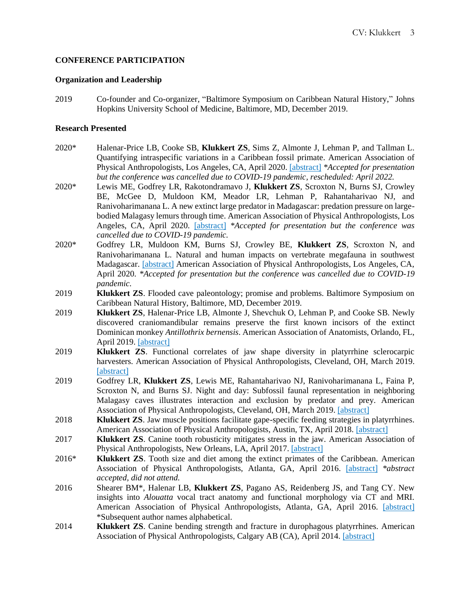### **CONFERENCE PARTICIPATION**

### **Organization and Leadership**

2019 Co-founder and Co-organizer, "Baltimore Symposium on Caribbean Natural History," Johns Hopkins University School of Medicine, Baltimore, MD, December 2019.

#### **Research Presented**

- 2020\* Halenar-Price LB, Cooke SB, **Klukkert ZS**, Sims Z, Almonte J, Lehman P, and Tallman L. Quantifying intraspecific variations in a Caribbean fossil primate. American Association of Physical Anthropologists, Los Angeles, CA, April 2020. [\[abstract\]](https://4f2579b6-3bea-4445-a1dd-9c75331f6b22.usrfiles.com/ugd/4f2579_36156099a48f4d5397f1d0caafbe9014.pdf) *\*Accepted for presentation but the conference was cancelled due to COVID-19 pandemic, rescheduled: April 2022.*
- 2020\* Lewis ME, Godfrey LR, Rakotondramavo J, **Klukkert ZS**, Scroxton N, Burns SJ, Crowley BE, McGee D, Muldoon KM, Meador LR, Lehman P, Rahantaharivao NJ, and Ranivoharimanana L. A new extinct large predator in Madagascar: predation pressure on largebodied Malagasy lemurs through time. American Association of Physical Anthropologists, Los Angeles, CA, April 2020. [\[abstract\]](https://4f2579b6-3bea-4445-a1dd-9c75331f6b22.usrfiles.com/ugd/4f2579_6f0c48bc0d934540b544dd3ff15dc002.pdf) *\*Accepted for presentation but the conference was cancelled due to COVID-19 pandemic.*
- 2020\* Godfrey LR, Muldoon KM, Burns SJ, Crowley BE, **Klukkert ZS**, Scroxton N, and Ranivoharimanana L. Natural and human impacts on vertebrate megafauna in southwest Madagascar. [\[abstract\]](https://4f2579b6-3bea-4445-a1dd-9c75331f6b22.usrfiles.com/ugd/4f2579_f90777d44e5e4b02a5dde2b02292cded.pdf) American Association of Physical Anthropologists, Los Angeles, CA, April 2020. *\*Accepted for presentation but the conference was cancelled due to COVID-19 pandemic.*
- 2019 **Klukkert ZS**. Flooded cave paleontology; promise and problems. Baltimore Symposium on Caribbean Natural History, Baltimore, MD, December 2019.
- 2019 **Klukkert ZS**, Halenar-Price LB, Almonte J, Shevchuk O, Lehman P, and Cooke SB. Newly discovered craniomandibular remains preserve the first known incisors of the extinct Dominican monkey *Antillothrix bernensis*. American Association of Anatomists, Orlando, FL, April 2019. [\[abstract\]](https://4f2579b6-3bea-4445-a1dd-9c75331f6b22.usrfiles.com/ugd/4f2579_72b6ce4f58be4050a0ed16b73d3e4dcc.pdf)
- 2019 **Klukkert ZS**. Functional correlates of jaw shape diversity in platyrrhine sclerocarpic harvesters. American Association of Physical Anthropologists, Cleveland, OH, March 2019. [\[abstract\]](https://4f2579b6-3bea-4445-a1dd-9c75331f6b22.usrfiles.com/ugd/4f2579_24658ec39eb94cb3b5b956a50bd42288.pdf)
- 2019 Godfrey LR, **Klukkert ZS**, Lewis ME, Rahantaharivao NJ, Ranivoharimanana L, Faina P, Scroxton N, and Burns SJ. Night and day: Subfossil faunal representation in neighboring Malagasy caves illustrates interaction and exclusion by predator and prey. American Association of Physical Anthropologists, Cleveland, OH, March 2019. [\[abstract\]](https://4f2579b6-3bea-4445-a1dd-9c75331f6b22.usrfiles.com/ugd/4f2579_5da9e1c7766047b08a829dc73ce1468b.pdf)
- 2018 **Klukkert ZS**. Jaw muscle positions facilitate gape-specific feeding strategies in platyrrhines. American Association of Physical Anthropologists, Austin, TX, April 2018. [\[abstract\]](https://4f2579b6-3bea-4445-a1dd-9c75331f6b22.usrfiles.com/ugd/4f2579_2eec1630e91848c19058158c09abd975.pdf)
- 2017 **Klukkert ZS**. Canine tooth robusticity mitigates stress in the jaw. American Association of Physical Anthropologists, New Orleans, LA, April 2017. [\[abstract\]](https://4f2579b6-3bea-4445-a1dd-9c75331f6b22.usrfiles.com/ugd/4f2579_b01a4af0ab97458b8ce0640eb1084b36.pdf)
- 2016\* **Klukkert ZS**. Tooth size and diet among the extinct primates of the Caribbean. American Association of Physical Anthropologists, Atlanta, GA, April 2016. [\[abstract\]](https://4f2579b6-3bea-4445-a1dd-9c75331f6b22.usrfiles.com/ugd/4f2579_b72d0977bb544ea4805987ec0fdeafe2.pdf) *\*abstract accepted, did not attend.*
- 2016 Shearer BM\*, Halenar LB, **Klukkert ZS**, Pagano AS, Reidenberg JS, and Tang CY. New insights into *Alouatta* vocal tract anatomy and functional morphology via CT and MRI. American Association of Physical Anthropologists, Atlanta, GA, April 2016. [\[abstract\]](https://4f2579b6-3bea-4445-a1dd-9c75331f6b22.usrfiles.com/ugd/4f2579_3fb7c45d59e84ff1995b5f3cb1dab289.pdf) \*Subsequent author names alphabetical.
- 2014 **Klukkert ZS**. Canine bending strength and fracture in durophagous platyrrhines. American Association of Physical Anthropologists, Calgary AB (CA), April 2014. [\[abstract\]](https://4f2579b6-3bea-4445-a1dd-9c75331f6b22.usrfiles.com/ugd/4f2579_dc0e127260d945eabc457104b4e13bad.pdf)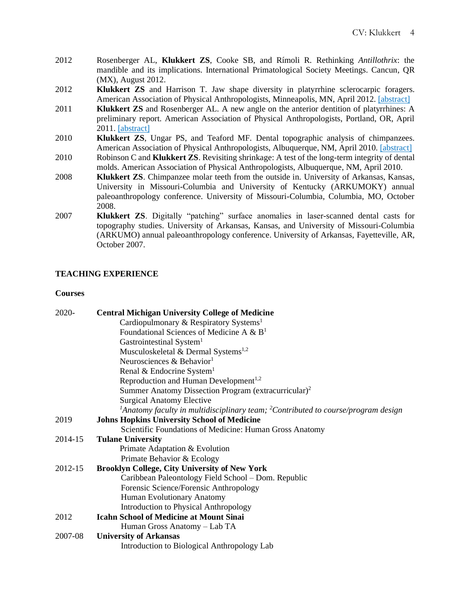- 2012 Rosenberger AL, **Klukkert ZS**, Cooke SB, and Rímoli R. Rethinking *Antillothrix*: the mandible and its implications. International Primatological Society Meetings. Cancun, QR (MX), August 2012.
- 2012 **Klukkert ZS** and Harrison T. Jaw shape diversity in platyrrhine sclerocarpic foragers. American Association of Physical Anthropologists, Minneapolis, MN, April 2012. [\[abstract\]](https://4f2579b6-3bea-4445-a1dd-9c75331f6b22.usrfiles.com/ugd/4f2579_de26657b83284a288d8207c470d9c3af.pdf)
- 2011 **Klukkert ZS** and Rosenberger AL. A new angle on the anterior dentition of platyrrhines: A preliminary report. American Association of Physical Anthropologists, Portland, OR, April 2011. [\[abstract\]](https://4f2579b6-3bea-4445-a1dd-9c75331f6b22.usrfiles.com/ugd/4f2579_fa03844da96a4d6d9fd032944e7f01fe.pdf)
- 2010 **Klukkert ZS**, Ungar PS, and Teaford MF. Dental topographic analysis of chimpanzees. American Association of Physical Anthropologists, Albuquerque, NM, April 2010. [\[abstract\]](https://4f2579b6-3bea-4445-a1dd-9c75331f6b22.usrfiles.com/ugd/4f2579_789e45d7ffd54e699c033442380f8203.pdf) 2010 Robinson C and **Klukkert ZS**. Revisiting shrinkage: A test of the long-term integrity of dental
- molds. American Association of Physical Anthropologists, Albuquerque, NM, April 2010.
- 2008 **Klukkert ZS**. Chimpanzee molar teeth from the outside in. University of Arkansas, Kansas, University in Missouri-Columbia and University of Kentucky (ARKUMOKY) annual paleoanthropology conference. University of Missouri-Columbia, Columbia, MO, October 2008.
- 2007 **Klukkert ZS**. Digitally "patching" surface anomalies in laser-scanned dental casts for topography studies. University of Arkansas, Kansas, and University of Missouri-Columbia (ARKUMO) annual paleoanthropology conference. University of Arkansas, Fayetteville, AR, October 2007.

# **TEACHING EXPERIENCE**

#### **Courses**

| 2020-   | <b>Central Michigan University College of Medicine</b>                                                    |
|---------|-----------------------------------------------------------------------------------------------------------|
|         | Cardiopulmonary & Respiratory Systems <sup>1</sup>                                                        |
|         | Foundational Sciences of Medicine A & $B1$                                                                |
|         | Gastrointestinal System <sup>1</sup>                                                                      |
|         | Musculoskeletal & Dermal Systems <sup>1,2</sup>                                                           |
|         | Neurosciences & Behavior <sup>1</sup>                                                                     |
|         | Renal & Endocrine System <sup>1</sup>                                                                     |
|         | Reproduction and Human Development <sup>1,2</sup>                                                         |
|         | Summer Anatomy Dissection Program (extracurricular) <sup>2</sup>                                          |
|         | <b>Surgical Anatomy Elective</b>                                                                          |
|         | <sup>1</sup> Anatomy faculty in multidisciplinary team; <sup>2</sup> Contributed to course/program design |
| 2019    | <b>Johns Hopkins University School of Medicine</b>                                                        |
|         | Scientific Foundations of Medicine: Human Gross Anatomy                                                   |
| 2014-15 | <b>Tulane University</b>                                                                                  |
|         | Primate Adaptation & Evolution                                                                            |
|         | Primate Behavior & Ecology                                                                                |
| 2012-15 | <b>Brooklyn College, City University of New York</b>                                                      |
|         | Caribbean Paleontology Field School – Dom. Republic                                                       |
|         | Forensic Science/Forensic Anthropology                                                                    |
|         | Human Evolutionary Anatomy                                                                                |
|         | Introduction to Physical Anthropology                                                                     |
| 2012    | <b>Icahn School of Medicine at Mount Sinai</b>                                                            |
|         | Human Gross Anatomy - Lab TA                                                                              |
| 2007-08 | <b>University of Arkansas</b>                                                                             |
|         | Introduction to Biological Anthropology Lab                                                               |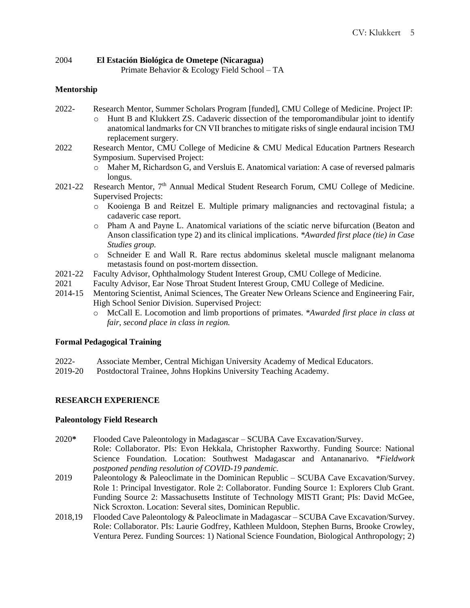#### 2004 **El Estación Biológica de Ometepe (Nicaragua)** Primate Behavior & Ecology Field School – TA

# **Mentorship**

- 2022- Research Mentor, Summer Scholars Program [funded], CMU College of Medicine. Project IP:
	- o Hunt B and Klukkert ZS. Cadaveric dissection of the temporomandibular joint to identify anatomical landmarks for CN VII branches to mitigate risks of single endaural incision TMJ replacement surgery.
- 2022 Research Mentor, CMU College of Medicine & CMU Medical Education Partners Research Symposium. Supervised Project:
	- o Maher M, Richardson G, and Versluis E. Anatomical variation: A case of reversed palmaris longus.
- 2021-22 Research Mentor, 7<sup>th</sup> Annual Medical Student Research Forum, CMU College of Medicine. Supervised Projects:
	- o Kooienga B and Reitzel E. Multiple primary malignancies and rectovaginal fistula; a cadaveric case report.
	- o Pham A and Payne L. Anatomical variations of the sciatic nerve bifurcation (Beaton and Anson classification type 2) and its clinical implications. *\*Awarded first place (tie) in Case Studies group.*
	- o Schneider E and Wall R. Rare rectus abdominus skeletal muscle malignant melanoma metastasis found on post-mortem dissection.
- 2021-22 Faculty Advisor, Ophthalmology Student Interest Group, CMU College of Medicine.
- 2021 Faculty Advisor, Ear Nose Throat Student Interest Group, CMU College of Medicine.
- 2014-15 Mentoring Scientist, Animal Sciences, The Greater New Orleans Science and Engineering Fair, High School Senior Division. Supervised Project:
	- o McCall E. Locomotion and limb proportions of primates. *\*Awarded first place in class at fair, second place in class in region.*

# **Formal Pedagogical Training**

- 2022- Associate Member, Central Michigan University Academy of Medical Educators.
- 2019-20 Postdoctoral Trainee, Johns Hopkins University Teaching Academy.

## **RESEARCH EXPERIENCE**

## **Paleontology Field Research**

- 2020**\*** Flooded Cave Paleontology in Madagascar SCUBA Cave Excavation/Survey. Role: Collaborator. PIs: Evon Hekkala, Christopher Raxworthy. Funding Source: National Science Foundation. Location: Southwest Madagascar and Antananarivo. *\*Fieldwork postponed pending resolution of COVID-19 pandemic.*
- 2019 Paleontology & Paleoclimate in the Dominican Republic SCUBA Cave Excavation/Survey. Role 1: Principal Investigator. Role 2: Collaborator. Funding Source 1: Explorers Club Grant. Funding Source 2: Massachusetts Institute of Technology MISTI Grant; PIs: David McGee, Nick Scroxton. Location: Several sites, Dominican Republic.
- 2018,19 Flooded Cave Paleontology & Paleoclimate in Madagascar SCUBA Cave Excavation/Survey. Role: Collaborator. PIs: Laurie Godfrey, Kathleen Muldoon, Stephen Burns, Brooke Crowley, Ventura Perez. Funding Sources: 1) National Science Foundation, Biological Anthropology; 2)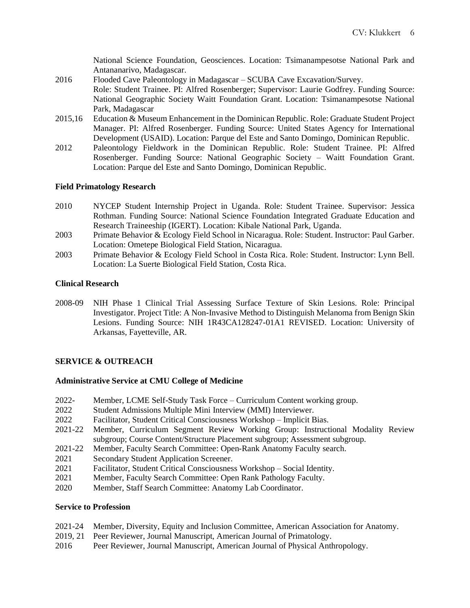National Science Foundation, Geosciences. Location: Tsimanampesotse National Park and Antananarivo, Madagascar.

- 2016 Flooded Cave Paleontology in Madagascar SCUBA Cave Excavation/Survey. Role: Student Trainee. PI: Alfred Rosenberger; Supervisor: Laurie Godfrey. Funding Source: National Geographic Society Waitt Foundation Grant. Location: Tsimanampesotse National Park, Madagascar
- 2015,16 Education & Museum Enhancement in the Dominican Republic. Role: Graduate Student Project Manager. PI: Alfred Rosenberger. Funding Source: United States Agency for International Development (USAID). Location: Parque del Este and Santo Domingo, Dominican Republic.
- 2012 Paleontology Fieldwork in the Dominican Republic. Role: Student Trainee. PI: Alfred Rosenberger. Funding Source: National Geographic Society – Waitt Foundation Grant. Location: Parque del Este and Santo Domingo, Dominican Republic.

### **Field Primatology Research**

- 2010 NYCEP Student Internship Project in Uganda. Role: Student Trainee. Supervisor: Jessica Rothman. Funding Source: National Science Foundation Integrated Graduate Education and Research Traineeship (IGERT). Location: Kibale National Park, Uganda.
- 2003 Primate Behavior & Ecology Field School in Nicaragua. Role: Student. Instructor: Paul Garber. Location: Ometepe Biological Field Station, Nicaragua.
- 2003 Primate Behavior & Ecology Field School in Costa Rica. Role: Student. Instructor: Lynn Bell. Location: La Suerte Biological Field Station, Costa Rica.

## **Clinical Research**

2008-09 NIH Phase 1 Clinical Trial Assessing Surface Texture of Skin Lesions. Role: Principal Investigator. Project Title: A Non-Invasive Method to Distinguish Melanoma from Benign Skin Lesions. Funding Source: NIH 1R43CA128247-01A1 REVISED. Location: University of Arkansas, Fayetteville, AR.

## **SERVICE & OUTREACH**

#### **Administrative Service at CMU College of Medicine**

- 2022- Member, LCME Self-Study Task Force Curriculum Content working group.
- 2022 Student Admissions Multiple Mini Interview (MMI) Interviewer.
- 2022 Facilitator, Student Critical Consciousness Workshop Implicit Bias.
- 2021-22 Member, Curriculum Segment Review Working Group: Instructional Modality Review subgroup; Course Content/Structure Placement subgroup; Assessment subgroup.
- 2021-22 Member, Faculty Search Committee: Open-Rank Anatomy Faculty search.
- 2021 Secondary Student Application Screener.
- 2021 Facilitator, Student Critical Consciousness Workshop Social Identity.
- 2021 Member, Faculty Search Committee: Open Rank Pathology Faculty.
- 2020 Member, Staff Search Committee: Anatomy Lab Coordinator.

### **Service to Profession**

- 2021-24 Member, Diversity, Equity and Inclusion Committee, American Association for Anatomy.
- 2019, 21 Peer Reviewer, Journal Manuscript, American Journal of Primatology.
- 2016 Peer Reviewer, Journal Manuscript, American Journal of Physical Anthropology.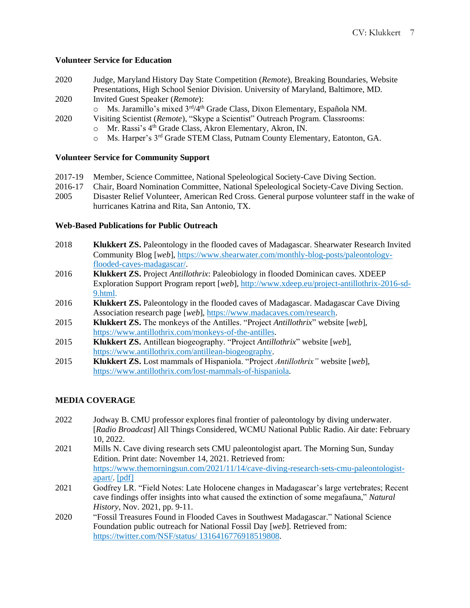## **Volunteer Service for Education**

- 2020 Judge, Maryland History Day State Competition (*Remote*), Breaking Boundaries, Website Presentations, High School Senior Division. University of Maryland, Baltimore, MD*.*
- 2020 Invited Guest Speaker (*Remote*):
	- $\circ$  Ms. Jaramillo's mixed  $3<sup>rd</sup>/4<sup>th</sup>$  Grade Class, Dixon Elementary, Española NM.
- 2020 Visiting Scientist (*Remote*), "Skype a Scientist" Outreach Program. Classrooms:
	- o Mr. Rassi's 4<sup>th</sup> Grade Class, Akron Elementary, Akron, IN.
	- o Ms. Harper's 3rd Grade STEM Class, Putnam County Elementary, Eatonton, GA.

# **Volunteer Service for Community Support**

- 2017-19 Member, Science Committee, National Speleological Society-Cave Diving Section.
- 2016-17 Chair, Board Nomination Committee, National Speleological Society-Cave Diving Section. 2005 Disaster Relief Volunteer, American Red Cross. General purpose volunteer staff in the wake of
- hurricanes Katrina and Rita, San Antonio, TX.

# **Web-Based Publications for Public Outreach**

- 2018 **Klukkert ZS.** Paleontology in the flooded caves of Madagascar. Shearwater Research Invited Community Blog [*web*], [https://www.shearwater.com/monthly-blog-posts/paleontology](https://www.shearwater.com/monthly-blog-posts/paleontology-flooded-caves-madagascar/)[flooded-caves-madagascar/.](https://www.shearwater.com/monthly-blog-posts/paleontology-flooded-caves-madagascar/)
- 2016 **Klukkert ZS.** Project *Antillothrix*: Paleobiology in flooded Dominican caves. XDEEP Exploration Support Program report [*web*], [http://www.xdeep.eu/project-antillothrix-2016-sd-](http://www.xdeep.eu/project-antillothrix-2016-sd-9.html)[9.html.](http://www.xdeep.eu/project-antillothrix-2016-sd-9.html)
- 2016 **Klukkert ZS.** Paleontology in the flooded caves of Madagascar. Madagascar Cave Diving Association research page [*web*], [https://www.madacaves.com/research.](https://www.madacaves.com/research)
- 2015 **Klukkert ZS.** The monkeys of the Antilles. "Project *Antillothrix*" website [*web*], [https://www.antillothrix.com/monkeys-of-the-antilles.](https://www.antillothrix.com/monkeys-of-the-antilles)
- 2015 **Klukkert ZS.** Antillean biogeography. "Project *Antillothrix*" website [*web*], [https://www.antillothrix.com/antillean-biogeography.](https://www.antillothrix.com/antillean-biogeography)
- 2015 **Klukkert ZS.** Lost mammals of Hispaniola. "Project *Antillothrix"* website [*web*], [https://www.antillothrix.com/lost-mammals-of-hispaniola.](https://www.antillothrix.com/lost-mammals-of-hispaniola)

# **MEDIA COVERAGE**

- 2022 Jodway B. CMU professor explores final frontier of paleontology by diving underwater. [*Radio Broadcast*] All Things Considered, WCMU National Public Radio. Air date: February 10, 2022.
- 2021 Mills N. Cave diving research sets CMU paleontologist apart. The Morning Sun, Sunday Edition. Print date: November 14, 2021. Retrieved from: [https://www.themorningsun.com/2021/11/14/cave-diving-research-sets-cmu-paleontologist](https://www.themorningsun.com/2021/11/14/cave-diving-research-sets-cmu-paleontologist-apart/)[apart/.](https://www.themorningsun.com/2021/11/14/cave-diving-research-sets-cmu-paleontologist-apart/) [\[pdf\]](https://d538b1f2-1918-491b-aa83-5461626d5828.filesusr.com/ugd/4f2579_07e9c47620f04a5cb3261c58ddab7807.pdf)
- 2021 Godfrey LR. "Field Notes: Late Holocene changes in Madagascar's large vertebrates; Recent cave findings offer insights into what caused the extinction of some megafauna," *Natural History*, Nov. 2021, pp. 9-11.
- 2020 "Fossil Treasures Found in Flooded Caves in Southwest Madagascar." National Science Foundation public outreach for National Fossil Day [*web*]. Retrieved from: [https://twitter.com/NSF/status/](https://twitter.com/NSF/status/1316414635273269250?s=20) 1316416776918519808.